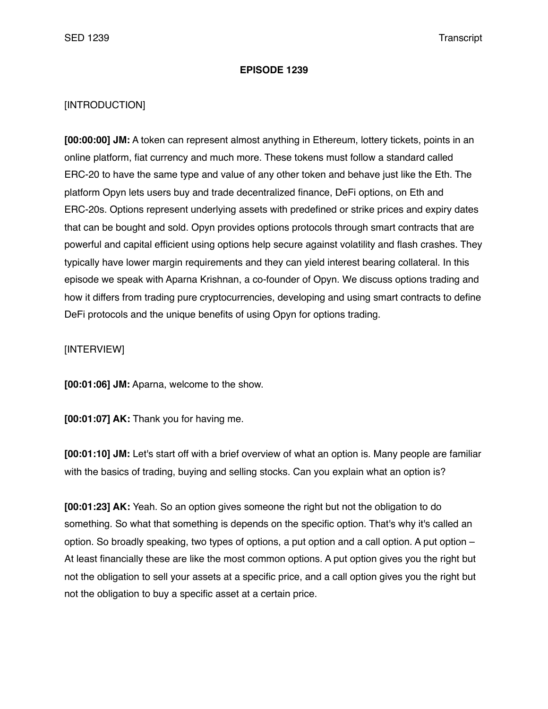## **EPISODE 1239**

## [INTRODUCTION]

**[00:00:00] JM:** A token can represent almost anything in Ethereum, lottery tickets, points in an online platform, fiat currency and much more. These tokens must follow a standard called ERC-20 to have the same type and value of any other token and behave just like the Eth. The platform Opyn lets users buy and trade decentralized finance, DeFi options, on Eth and ERC-20s. Options represent underlying assets with predefined or strike prices and expiry dates that can be bought and sold. Opyn provides options protocols through smart contracts that are powerful and capital efficient using options help secure against volatility and flash crashes. They typically have lower margin requirements and they can yield interest bearing collateral. In this episode we speak with Aparna Krishnan, a co-founder of Opyn. We discuss options trading and how it differs from trading pure cryptocurrencies, developing and using smart contracts to define DeFi protocols and the unique benefits of using Opyn for options trading.

[INTERVIEW]

**[00:01:06] JM:** Aparna, welcome to the show.

**[00:01:07] AK:** Thank you for having me.

**[00:01:10] JM:** Let's start off with a brief overview of what an option is. Many people are familiar with the basics of trading, buying and selling stocks. Can you explain what an option is?

**[00:01:23] AK:** Yeah. So an option gives someone the right but not the obligation to do something. So what that something is depends on the specific option. That's why it's called an option. So broadly speaking, two types of options, a put option and a call option. A put option – At least financially these are like the most common options. A put option gives you the right but not the obligation to sell your assets at a specific price, and a call option gives you the right but not the obligation to buy a specific asset at a certain price.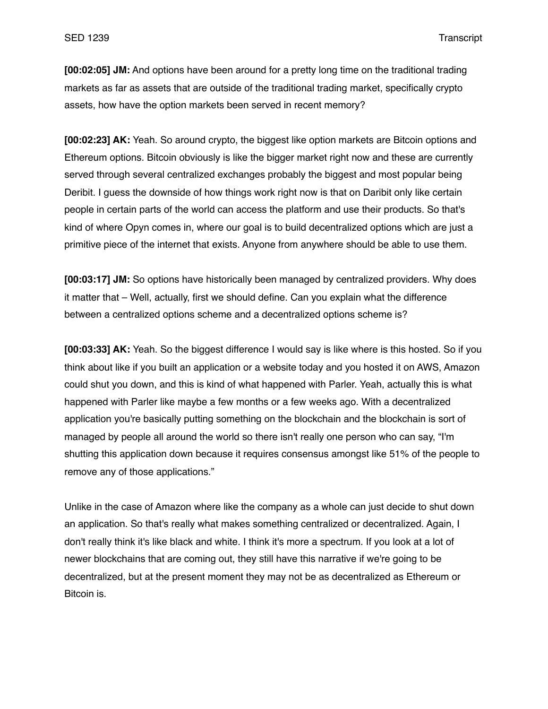**[00:02:05] JM:** And options have been around for a pretty long time on the traditional trading markets as far as assets that are outside of the traditional trading market, specifically crypto assets, how have the option markets been served in recent memory?

**[00:02:23] AK:** Yeah. So around crypto, the biggest like option markets are Bitcoin options and Ethereum options. Bitcoin obviously is like the bigger market right now and these are currently served through several centralized exchanges probably the biggest and most popular being Deribit. I guess the downside of how things work right now is that on Daribit only like certain people in certain parts of the world can access the platform and use their products. So that's kind of where Opyn comes in, where our goal is to build decentralized options which are just a primitive piece of the internet that exists. Anyone from anywhere should be able to use them.

**[00:03:17] JM:** So options have historically been managed by centralized providers. Why does it matter that – Well, actually, first we should define. Can you explain what the difference between a centralized options scheme and a decentralized options scheme is?

**[00:03:33] AK:** Yeah. So the biggest difference I would say is like where is this hosted. So if you think about like if you built an application or a website today and you hosted it on AWS, Amazon could shut you down, and this is kind of what happened with Parler. Yeah, actually this is what happened with Parler like maybe a few months or a few weeks ago. With a decentralized application you're basically putting something on the blockchain and the blockchain is sort of managed by people all around the world so there isn't really one person who can say, "I'm shutting this application down because it requires consensus amongst like 51% of the people to remove any of those applications."

Unlike in the case of Amazon where like the company as a whole can just decide to shut down an application. So that's really what makes something centralized or decentralized. Again, I don't really think it's like black and white. I think it's more a spectrum. If you look at a lot of newer blockchains that are coming out, they still have this narrative if we're going to be decentralized, but at the present moment they may not be as decentralized as Ethereum or Bitcoin is.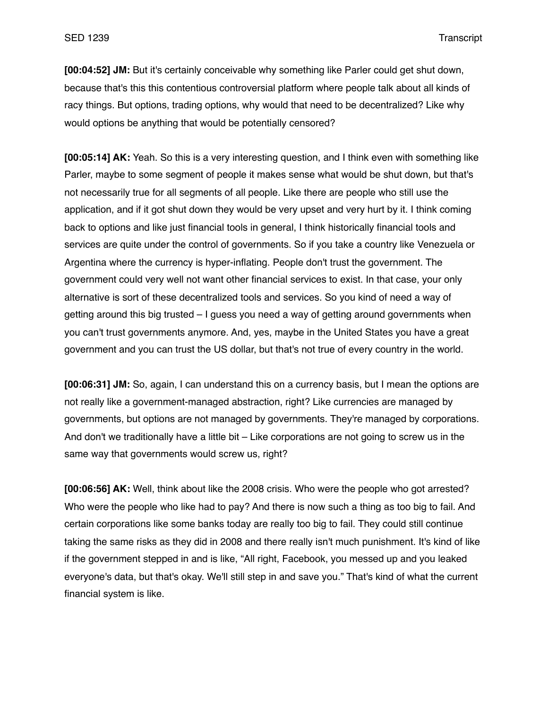**[00:04:52] JM:** But it's certainly conceivable why something like Parler could get shut down, because that's this this contentious controversial platform where people talk about all kinds of racy things. But options, trading options, why would that need to be decentralized? Like why would options be anything that would be potentially censored?

**[00:05:14] AK:** Yeah. So this is a very interesting question, and I think even with something like Parler, maybe to some segment of people it makes sense what would be shut down, but that's not necessarily true for all segments of all people. Like there are people who still use the application, and if it got shut down they would be very upset and very hurt by it. I think coming back to options and like just financial tools in general, I think historically financial tools and services are quite under the control of governments. So if you take a country like Venezuela or Argentina where the currency is hyper-inflating. People don't trust the government. The government could very well not want other financial services to exist. In that case, your only alternative is sort of these decentralized tools and services. So you kind of need a way of getting around this big trusted – I guess you need a way of getting around governments when you can't trust governments anymore. And, yes, maybe in the United States you have a great government and you can trust the US dollar, but that's not true of every country in the world.

**[00:06:31] JM:** So, again, I can understand this on a currency basis, but I mean the options are not really like a government-managed abstraction, right? Like currencies are managed by governments, but options are not managed by governments. They're managed by corporations. And don't we traditionally have a little bit – Like corporations are not going to screw us in the same way that governments would screw us, right?

**[00:06:56] AK:** Well, think about like the 2008 crisis. Who were the people who got arrested? Who were the people who like had to pay? And there is now such a thing as too big to fail. And certain corporations like some banks today are really too big to fail. They could still continue taking the same risks as they did in 2008 and there really isn't much punishment. It's kind of like if the government stepped in and is like, "All right, Facebook, you messed up and you leaked everyone's data, but that's okay. We'll still step in and save you." That's kind of what the current financial system is like.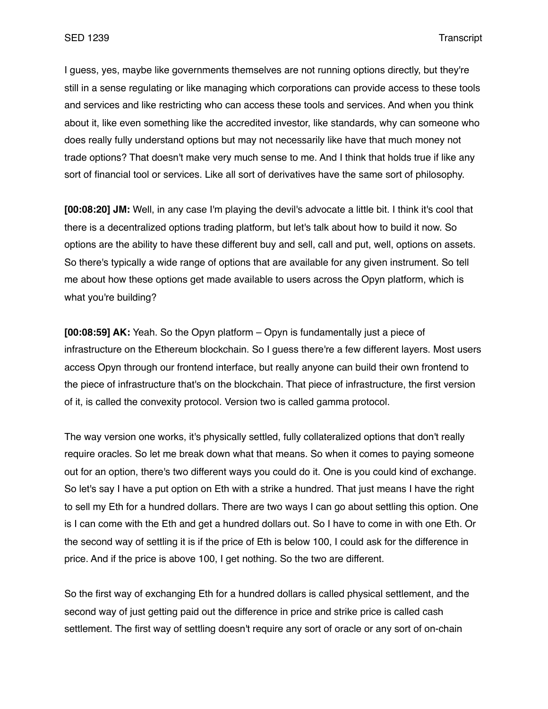I guess, yes, maybe like governments themselves are not running options directly, but they're still in a sense regulating or like managing which corporations can provide access to these tools and services and like restricting who can access these tools and services. And when you think about it, like even something like the accredited investor, like standards, why can someone who does really fully understand options but may not necessarily like have that much money not trade options? That doesn't make very much sense to me. And I think that holds true if like any sort of financial tool or services. Like all sort of derivatives have the same sort of philosophy.

**[00:08:20] JM:** Well, in any case I'm playing the devil's advocate a little bit. I think it's cool that there is a decentralized options trading platform, but let's talk about how to build it now. So options are the ability to have these different buy and sell, call and put, well, options on assets. So there's typically a wide range of options that are available for any given instrument. So tell me about how these options get made available to users across the Opyn platform, which is what you're building?

**[00:08:59] AK:** Yeah. So the Opyn platform – Opyn is fundamentally just a piece of infrastructure on the Ethereum blockchain. So I guess there're a few different layers. Most users access Opyn through our frontend interface, but really anyone can build their own frontend to the piece of infrastructure that's on the blockchain. That piece of infrastructure, the first version of it, is called the convexity protocol. Version two is called gamma protocol.

The way version one works, it's physically settled, fully collateralized options that don't really require oracles. So let me break down what that means. So when it comes to paying someone out for an option, there's two different ways you could do it. One is you could kind of exchange. So let's say I have a put option on Eth with a strike a hundred. That just means I have the right to sell my Eth for a hundred dollars. There are two ways I can go about settling this option. One is I can come with the Eth and get a hundred dollars out. So I have to come in with one Eth. Or the second way of settling it is if the price of Eth is below 100, I could ask for the difference in price. And if the price is above 100, I get nothing. So the two are different.

So the first way of exchanging Eth for a hundred dollars is called physical settlement, and the second way of just getting paid out the difference in price and strike price is called cash settlement. The first way of settling doesn't require any sort of oracle or any sort of on-chain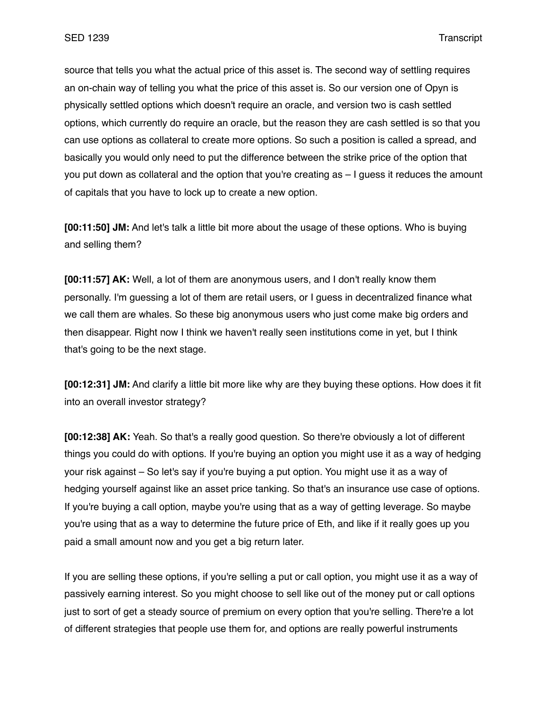source that tells you what the actual price of this asset is. The second way of settling requires an on-chain way of telling you what the price of this asset is. So our version one of Opyn is physically settled options which doesn't require an oracle, and version two is cash settled options, which currently do require an oracle, but the reason they are cash settled is so that you can use options as collateral to create more options. So such a position is called a spread, and basically you would only need to put the difference between the strike price of the option that you put down as collateral and the option that you're creating as – I guess it reduces the amount of capitals that you have to lock up to create a new option.

**[00:11:50] JM:** And let's talk a little bit more about the usage of these options. Who is buying and selling them?

**[00:11:57] AK:** Well, a lot of them are anonymous users, and I don't really know them personally. I'm guessing a lot of them are retail users, or I guess in decentralized finance what we call them are whales. So these big anonymous users who just come make big orders and then disappear. Right now I think we haven't really seen institutions come in yet, but I think that's going to be the next stage.

**[00:12:31] JM:** And clarify a little bit more like why are they buying these options. How does it fit into an overall investor strategy?

**[00:12:38] AK:** Yeah. So that's a really good question. So there're obviously a lot of different things you could do with options. If you're buying an option you might use it as a way of hedging your risk against – So let's say if you're buying a put option. You might use it as a way of hedging yourself against like an asset price tanking. So that's an insurance use case of options. If you're buying a call option, maybe you're using that as a way of getting leverage. So maybe you're using that as a way to determine the future price of Eth, and like if it really goes up you paid a small amount now and you get a big return later.

If you are selling these options, if you're selling a put or call option, you might use it as a way of passively earning interest. So you might choose to sell like out of the money put or call options just to sort of get a steady source of premium on every option that you're selling. There're a lot of different strategies that people use them for, and options are really powerful instruments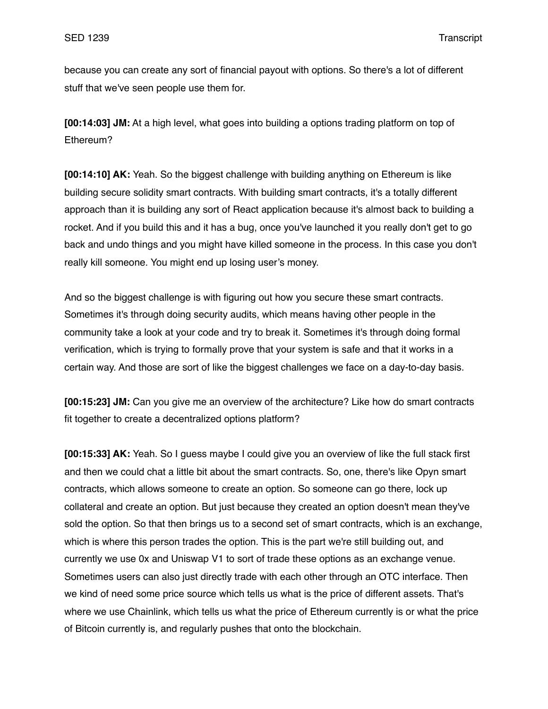because you can create any sort of financial payout with options. So there's a lot of different stuff that we've seen people use them for.

**[00:14:03] JM:** At a high level, what goes into building a options trading platform on top of Ethereum?

**[00:14:10] AK:** Yeah. So the biggest challenge with building anything on Ethereum is like building secure solidity smart contracts. With building smart contracts, it's a totally different approach than it is building any sort of React application because it's almost back to building a rocket. And if you build this and it has a bug, once you've launched it you really don't get to go back and undo things and you might have killed someone in the process. In this case you don't really kill someone. You might end up losing user's money.

And so the biggest challenge is with figuring out how you secure these smart contracts. Sometimes it's through doing security audits, which means having other people in the community take a look at your code and try to break it. Sometimes it's through doing formal verification, which is trying to formally prove that your system is safe and that it works in a certain way. And those are sort of like the biggest challenges we face on a day-to-day basis.

**[00:15:23] JM:** Can you give me an overview of the architecture? Like how do smart contracts fit together to create a decentralized options platform?

**[00:15:33] AK:** Yeah. So I guess maybe I could give you an overview of like the full stack first and then we could chat a little bit about the smart contracts. So, one, there's like Opyn smart contracts, which allows someone to create an option. So someone can go there, lock up collateral and create an option. But just because they created an option doesn't mean they've sold the option. So that then brings us to a second set of smart contracts, which is an exchange, which is where this person trades the option. This is the part we're still building out, and currently we use 0x and Uniswap V1 to sort of trade these options as an exchange venue. Sometimes users can also just directly trade with each other through an OTC interface. Then we kind of need some price source which tells us what is the price of different assets. That's where we use Chainlink, which tells us what the price of Ethereum currently is or what the price of Bitcoin currently is, and regularly pushes that onto the blockchain.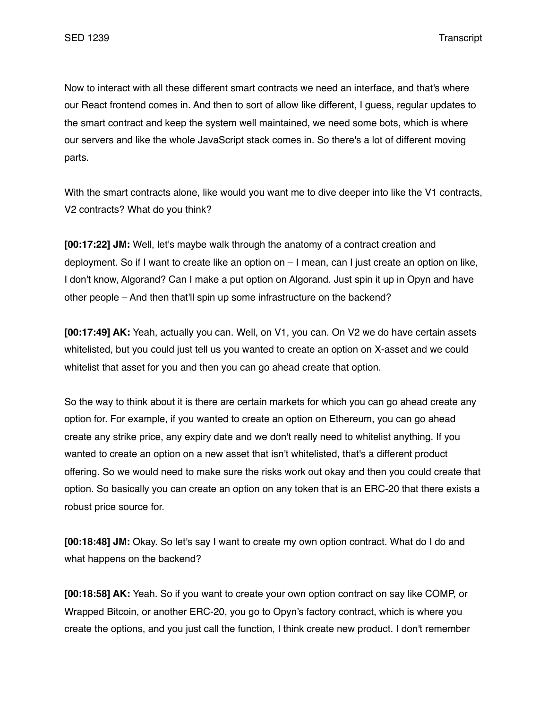Now to interact with all these different smart contracts we need an interface, and that's where our React frontend comes in. And then to sort of allow like different, I guess, regular updates to the smart contract and keep the system well maintained, we need some bots, which is where our servers and like the whole JavaScript stack comes in. So there's a lot of different moving parts.

With the smart contracts alone, like would you want me to dive deeper into like the V1 contracts, V2 contracts? What do you think?

**[00:17:22] JM:** Well, let's maybe walk through the anatomy of a contract creation and deployment. So if I want to create like an option on – I mean, can I just create an option on like, I don't know, Algorand? Can I make a put option on Algorand. Just spin it up in Opyn and have other people – And then that'll spin up some infrastructure on the backend?

**[00:17:49] AK:** Yeah, actually you can. Well, on V1, you can. On V2 we do have certain assets whitelisted, but you could just tell us you wanted to create an option on X-asset and we could whitelist that asset for you and then you can go ahead create that option.

So the way to think about it is there are certain markets for which you can go ahead create any option for. For example, if you wanted to create an option on Ethereum, you can go ahead create any strike price, any expiry date and we don't really need to whitelist anything. If you wanted to create an option on a new asset that isn't whitelisted, that's a different product offering. So we would need to make sure the risks work out okay and then you could create that option. So basically you can create an option on any token that is an ERC-20 that there exists a robust price source for.

**[00:18:48] JM:** Okay. So let's say I want to create my own option contract. What do I do and what happens on the backend?

**[00:18:58] AK:** Yeah. So if you want to create your own option contract on say like COMP, or Wrapped Bitcoin, or another ERC-20, you go to Opyn's factory contract, which is where you create the options, and you just call the function, I think create new product. I don't remember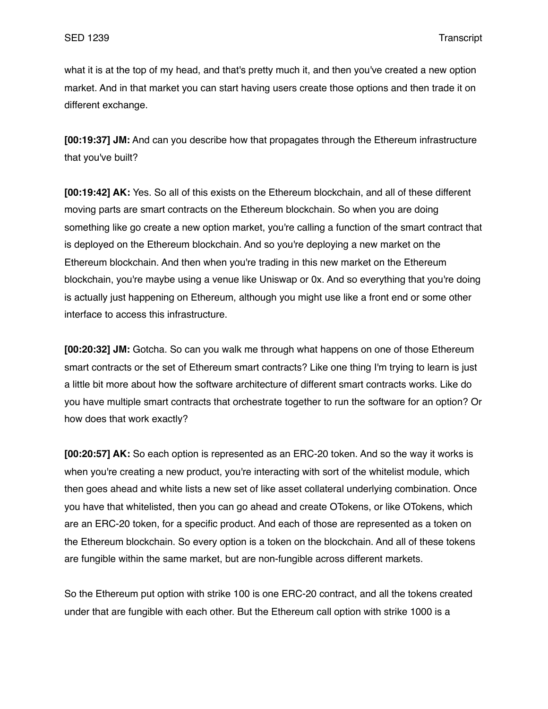what it is at the top of my head, and that's pretty much it, and then you've created a new option market. And in that market you can start having users create those options and then trade it on different exchange.

**[00:19:37] JM:** And can you describe how that propagates through the Ethereum infrastructure that you've built?

**[00:19:42] AK:** Yes. So all of this exists on the Ethereum blockchain, and all of these different moving parts are smart contracts on the Ethereum blockchain. So when you are doing something like go create a new option market, you're calling a function of the smart contract that is deployed on the Ethereum blockchain. And so you're deploying a new market on the Ethereum blockchain. And then when you're trading in this new market on the Ethereum blockchain, you're maybe using a venue like Uniswap or 0x. And so everything that you're doing is actually just happening on Ethereum, although you might use like a front end or some other interface to access this infrastructure.

**[00:20:32] JM:** Gotcha. So can you walk me through what happens on one of those Ethereum smart contracts or the set of Ethereum smart contracts? Like one thing I'm trying to learn is just a little bit more about how the software architecture of different smart contracts works. Like do you have multiple smart contracts that orchestrate together to run the software for an option? Or how does that work exactly?

**[00:20:57] AK:** So each option is represented as an ERC-20 token. And so the way it works is when you're creating a new product, you're interacting with sort of the whitelist module, which then goes ahead and white lists a new set of like asset collateral underlying combination. Once you have that whitelisted, then you can go ahead and create OTokens, or like OTokens, which are an ERC-20 token, for a specific product. And each of those are represented as a token on the Ethereum blockchain. So every option is a token on the blockchain. And all of these tokens are fungible within the same market, but are non-fungible across different markets.

So the Ethereum put option with strike 100 is one ERC-20 contract, and all the tokens created under that are fungible with each other. But the Ethereum call option with strike 1000 is a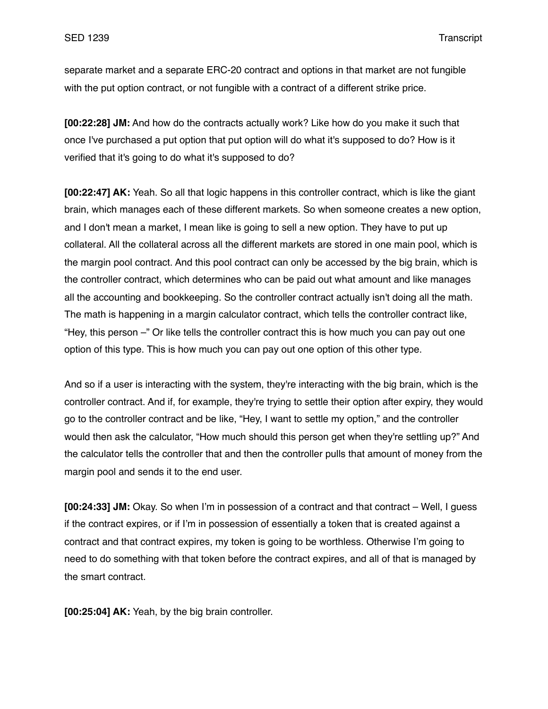separate market and a separate ERC-20 contract and options in that market are not fungible with the put option contract, or not fungible with a contract of a different strike price.

**[00:22:28] JM:** And how do the contracts actually work? Like how do you make it such that once I've purchased a put option that put option will do what it's supposed to do? How is it verified that it's going to do what it's supposed to do?

**[00:22:47] AK:** Yeah. So all that logic happens in this controller contract, which is like the giant brain, which manages each of these different markets. So when someone creates a new option, and I don't mean a market, I mean like is going to sell a new option. They have to put up collateral. All the collateral across all the different markets are stored in one main pool, which is the margin pool contract. And this pool contract can only be accessed by the big brain, which is the controller contract, which determines who can be paid out what amount and like manages all the accounting and bookkeeping. So the controller contract actually isn't doing all the math. The math is happening in a margin calculator contract, which tells the controller contract like, "Hey, this person –" Or like tells the controller contract this is how much you can pay out one option of this type. This is how much you can pay out one option of this other type.

And so if a user is interacting with the system, they're interacting with the big brain, which is the controller contract. And if, for example, they're trying to settle their option after expiry, they would go to the controller contract and be like, "Hey, I want to settle my option," and the controller would then ask the calculator, "How much should this person get when they're settling up?" And the calculator tells the controller that and then the controller pulls that amount of money from the margin pool and sends it to the end user.

**[00:24:33] JM:** Okay. So when I'm in possession of a contract and that contract – Well, I guess if the contract expires, or if I'm in possession of essentially a token that is created against a contract and that contract expires, my token is going to be worthless. Otherwise I'm going to need to do something with that token before the contract expires, and all of that is managed by the smart contract.

**[00:25:04] AK:** Yeah, by the big brain controller.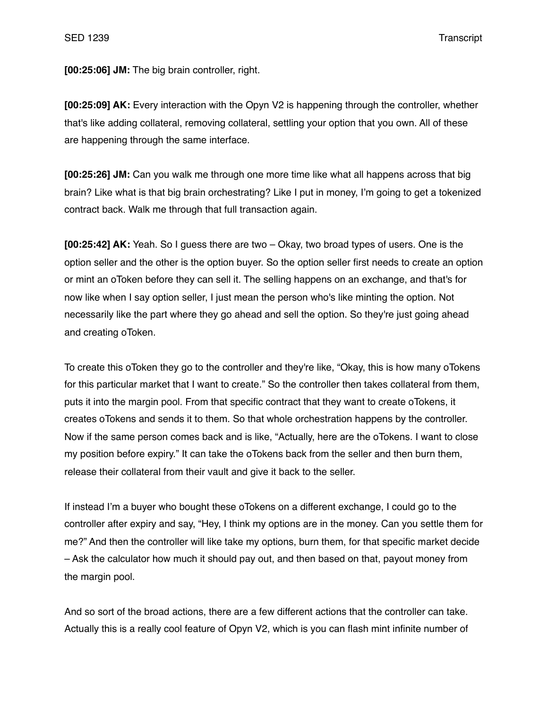**[00:25:06] JM:** The big brain controller, right.

**[00:25:09] AK:** Every interaction with the Opyn V2 is happening through the controller, whether that's like adding collateral, removing collateral, settling your option that you own. All of these are happening through the same interface.

**[00:25:26] JM:** Can you walk me through one more time like what all happens across that big brain? Like what is that big brain orchestrating? Like I put in money, I'm going to get a tokenized contract back. Walk me through that full transaction again.

**[00:25:42] AK:** Yeah. So I guess there are two – Okay, two broad types of users. One is the option seller and the other is the option buyer. So the option seller first needs to create an option or mint an oToken before they can sell it. The selling happens on an exchange, and that's for now like when I say option seller, I just mean the person who's like minting the option. Not necessarily like the part where they go ahead and sell the option. So they're just going ahead and creating oToken.

To create this oToken they go to the controller and they're like, "Okay, this is how many oTokens for this particular market that I want to create." So the controller then takes collateral from them, puts it into the margin pool. From that specific contract that they want to create oTokens, it creates oTokens and sends it to them. So that whole orchestration happens by the controller. Now if the same person comes back and is like, "Actually, here are the oTokens. I want to close my position before expiry." It can take the oTokens back from the seller and then burn them, release their collateral from their vault and give it back to the seller.

If instead I'm a buyer who bought these oTokens on a different exchange, I could go to the controller after expiry and say, "Hey, I think my options are in the money. Can you settle them for me?" And then the controller will like take my options, burn them, for that specific market decide – Ask the calculator how much it should pay out, and then based on that, payout money from the margin pool.

And so sort of the broad actions, there are a few different actions that the controller can take. Actually this is a really cool feature of Opyn V2, which is you can flash mint infinite number of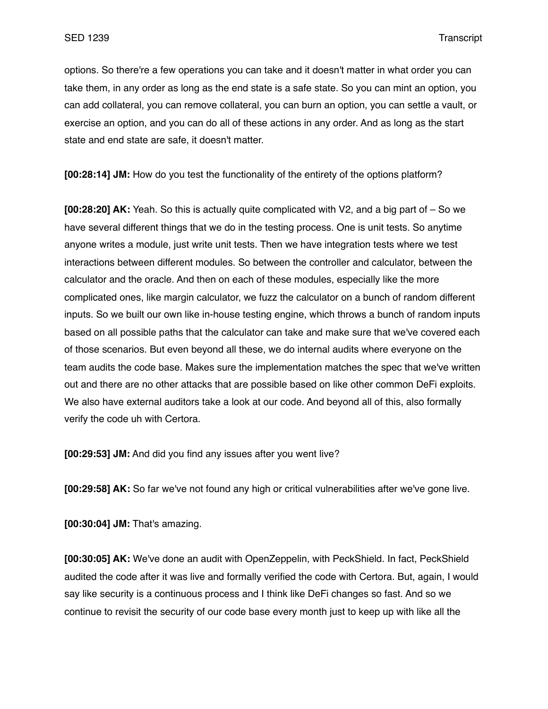options. So there're a few operations you can take and it doesn't matter in what order you can take them, in any order as long as the end state is a safe state. So you can mint an option, you can add collateral, you can remove collateral, you can burn an option, you can settle a vault, or exercise an option, and you can do all of these actions in any order. And as long as the start state and end state are safe, it doesn't matter.

**[00:28:14] JM:** How do you test the functionality of the entirety of the options platform?

**[00:28:20] AK:** Yeah. So this is actually quite complicated with V2, and a big part of – So we have several different things that we do in the testing process. One is unit tests. So anytime anyone writes a module, just write unit tests. Then we have integration tests where we test interactions between different modules. So between the controller and calculator, between the calculator and the oracle. And then on each of these modules, especially like the more complicated ones, like margin calculator, we fuzz the calculator on a bunch of random different inputs. So we built our own like in-house testing engine, which throws a bunch of random inputs based on all possible paths that the calculator can take and make sure that we've covered each of those scenarios. But even beyond all these, we do internal audits where everyone on the team audits the code base. Makes sure the implementation matches the spec that we've written out and there are no other attacks that are possible based on like other common DeFi exploits. We also have external auditors take a look at our code. And beyond all of this, also formally verify the code uh with Certora.

**[00:29:53] JM:** And did you find any issues after you went live?

**[00:29:58] AK:** So far we've not found any high or critical vulnerabilities after we've gone live.

**[00:30:04] JM:** That's amazing.

**[00:30:05] AK:** We've done an audit with OpenZeppelin, with PeckShield. In fact, PeckShield audited the code after it was live and formally verified the code with Certora. But, again, I would say like security is a continuous process and I think like DeFi changes so fast. And so we continue to revisit the security of our code base every month just to keep up with like all the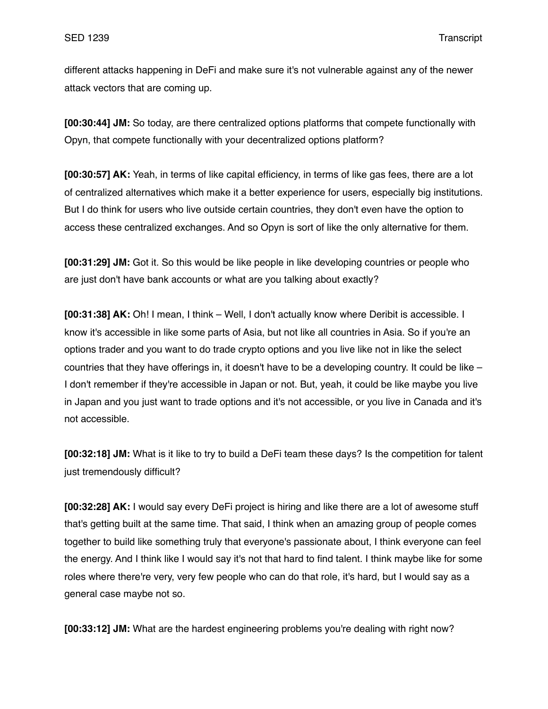different attacks happening in DeFi and make sure it's not vulnerable against any of the newer attack vectors that are coming up.

**[00:30:44] JM:** So today, are there centralized options platforms that compete functionally with Opyn, that compete functionally with your decentralized options platform?

**[00:30:57] AK:** Yeah, in terms of like capital efficiency, in terms of like gas fees, there are a lot of centralized alternatives which make it a better experience for users, especially big institutions. But I do think for users who live outside certain countries, they don't even have the option to access these centralized exchanges. And so Opyn is sort of like the only alternative for them.

**[00:31:29] JM:** Got it. So this would be like people in like developing countries or people who are just don't have bank accounts or what are you talking about exactly?

**[00:31:38] AK:** Oh! I mean, I think – Well, I don't actually know where Deribit is accessible. I know it's accessible in like some parts of Asia, but not like all countries in Asia. So if you're an options trader and you want to do trade crypto options and you live like not in like the select countries that they have offerings in, it doesn't have to be a developing country. It could be like – I don't remember if they're accessible in Japan or not. But, yeah, it could be like maybe you live in Japan and you just want to trade options and it's not accessible, or you live in Canada and it's not accessible.

**[00:32:18] JM:** What is it like to try to build a DeFi team these days? Is the competition for talent just tremendously difficult?

**[00:32:28] AK:** I would say every DeFi project is hiring and like there are a lot of awesome stuff that's getting built at the same time. That said, I think when an amazing group of people comes together to build like something truly that everyone's passionate about, I think everyone can feel the energy. And I think like I would say it's not that hard to find talent. I think maybe like for some roles where there're very, very few people who can do that role, it's hard, but I would say as a general case maybe not so.

**[00:33:12] JM:** What are the hardest engineering problems you're dealing with right now?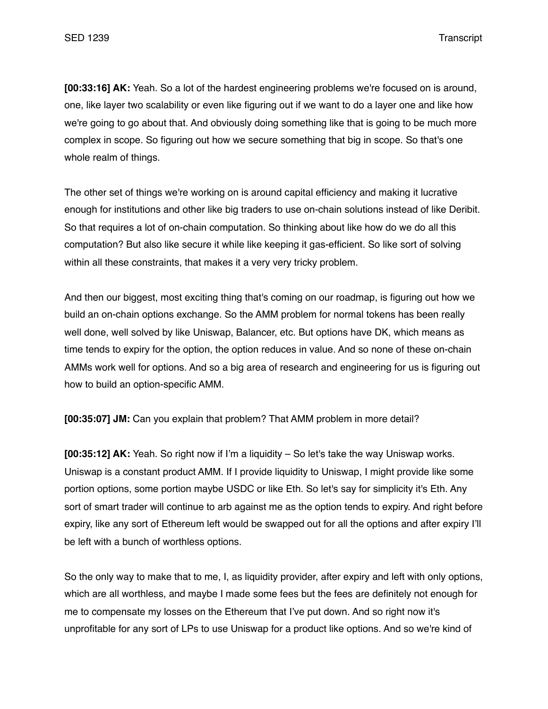**[00:33:16] AK:** Yeah. So a lot of the hardest engineering problems we're focused on is around, one, like layer two scalability or even like figuring out if we want to do a layer one and like how we're going to go about that. And obviously doing something like that is going to be much more complex in scope. So figuring out how we secure something that big in scope. So that's one whole realm of things.

The other set of things we're working on is around capital efficiency and making it lucrative enough for institutions and other like big traders to use on-chain solutions instead of like Deribit. So that requires a lot of on-chain computation. So thinking about like how do we do all this computation? But also like secure it while like keeping it gas-efficient. So like sort of solving within all these constraints, that makes it a very very tricky problem.

And then our biggest, most exciting thing that's coming on our roadmap, is figuring out how we build an on-chain options exchange. So the AMM problem for normal tokens has been really well done, well solved by like Uniswap, Balancer, etc. But options have DK, which means as time tends to expiry for the option, the option reduces in value. And so none of these on-chain AMMs work well for options. And so a big area of research and engineering for us is figuring out how to build an option-specific AMM.

**[00:35:07] JM:** Can you explain that problem? That AMM problem in more detail?

**[00:35:12] AK:** Yeah. So right now if I'm a liquidity – So let's take the way Uniswap works. Uniswap is a constant product AMM. If I provide liquidity to Uniswap, I might provide like some portion options, some portion maybe USDC or like Eth. So let's say for simplicity it's Eth. Any sort of smart trader will continue to arb against me as the option tends to expiry. And right before expiry, like any sort of Ethereum left would be swapped out for all the options and after expiry I'll be left with a bunch of worthless options.

So the only way to make that to me, I, as liquidity provider, after expiry and left with only options, which are all worthless, and maybe I made some fees but the fees are definitely not enough for me to compensate my losses on the Ethereum that I've put down. And so right now it's unprofitable for any sort of LPs to use Uniswap for a product like options. And so we're kind of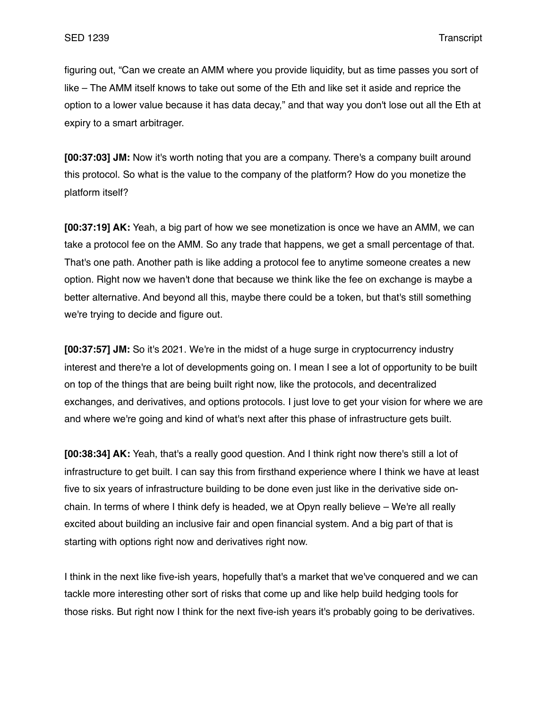figuring out, "Can we create an AMM where you provide liquidity, but as time passes you sort of like – The AMM itself knows to take out some of the Eth and like set it aside and reprice the option to a lower value because it has data decay," and that way you don't lose out all the Eth at expiry to a smart arbitrager.

**[00:37:03] JM:** Now it's worth noting that you are a company. There's a company built around this protocol. So what is the value to the company of the platform? How do you monetize the platform itself?

**[00:37:19] AK:** Yeah, a big part of how we see monetization is once we have an AMM, we can take a protocol fee on the AMM. So any trade that happens, we get a small percentage of that. That's one path. Another path is like adding a protocol fee to anytime someone creates a new option. Right now we haven't done that because we think like the fee on exchange is maybe a better alternative. And beyond all this, maybe there could be a token, but that's still something we're trying to decide and figure out.

**[00:37:57] JM:** So it's 2021. We're in the midst of a huge surge in cryptocurrency industry interest and there're a lot of developments going on. I mean I see a lot of opportunity to be built on top of the things that are being built right now, like the protocols, and decentralized exchanges, and derivatives, and options protocols. I just love to get your vision for where we are and where we're going and kind of what's next after this phase of infrastructure gets built.

**[00:38:34] AK:** Yeah, that's a really good question. And I think right now there's still a lot of infrastructure to get built. I can say this from firsthand experience where I think we have at least five to six years of infrastructure building to be done even just like in the derivative side onchain. In terms of where I think defy is headed, we at Opyn really believe – We're all really excited about building an inclusive fair and open financial system. And a big part of that is starting with options right now and derivatives right now.

I think in the next like five-ish years, hopefully that's a market that we've conquered and we can tackle more interesting other sort of risks that come up and like help build hedging tools for those risks. But right now I think for the next five-ish years it's probably going to be derivatives.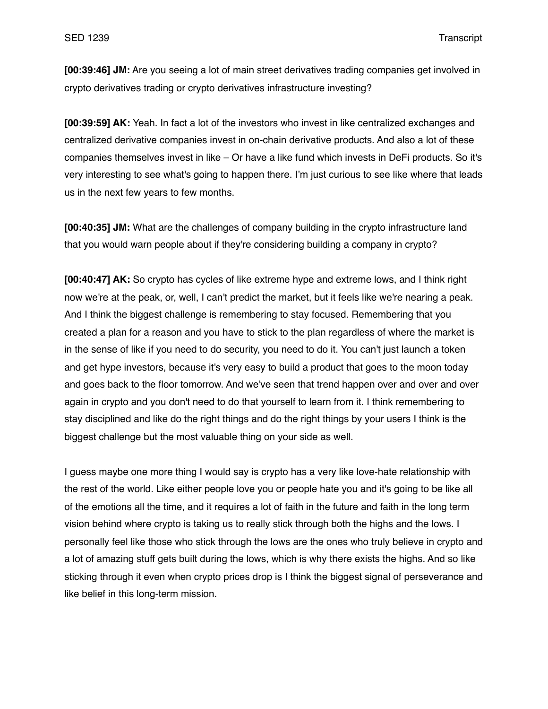**[00:39:46] JM:** Are you seeing a lot of main street derivatives trading companies get involved in crypto derivatives trading or crypto derivatives infrastructure investing?

**[00:39:59] AK:** Yeah. In fact a lot of the investors who invest in like centralized exchanges and centralized derivative companies invest in on-chain derivative products. And also a lot of these companies themselves invest in like – Or have a like fund which invests in DeFi products. So it's very interesting to see what's going to happen there. I'm just curious to see like where that leads us in the next few years to few months.

**[00:40:35] JM:** What are the challenges of company building in the crypto infrastructure land that you would warn people about if they're considering building a company in crypto?

**[00:40:47] AK:** So crypto has cycles of like extreme hype and extreme lows, and I think right now we're at the peak, or, well, I can't predict the market, but it feels like we're nearing a peak. And I think the biggest challenge is remembering to stay focused. Remembering that you created a plan for a reason and you have to stick to the plan regardless of where the market is in the sense of like if you need to do security, you need to do it. You can't just launch a token and get hype investors, because it's very easy to build a product that goes to the moon today and goes back to the floor tomorrow. And we've seen that trend happen over and over and over again in crypto and you don't need to do that yourself to learn from it. I think remembering to stay disciplined and like do the right things and do the right things by your users I think is the biggest challenge but the most valuable thing on your side as well.

I guess maybe one more thing I would say is crypto has a very like love-hate relationship with the rest of the world. Like either people love you or people hate you and it's going to be like all of the emotions all the time, and it requires a lot of faith in the future and faith in the long term vision behind where crypto is taking us to really stick through both the highs and the lows. I personally feel like those who stick through the lows are the ones who truly believe in crypto and a lot of amazing stuff gets built during the lows, which is why there exists the highs. And so like sticking through it even when crypto prices drop is I think the biggest signal of perseverance and like belief in this long-term mission.